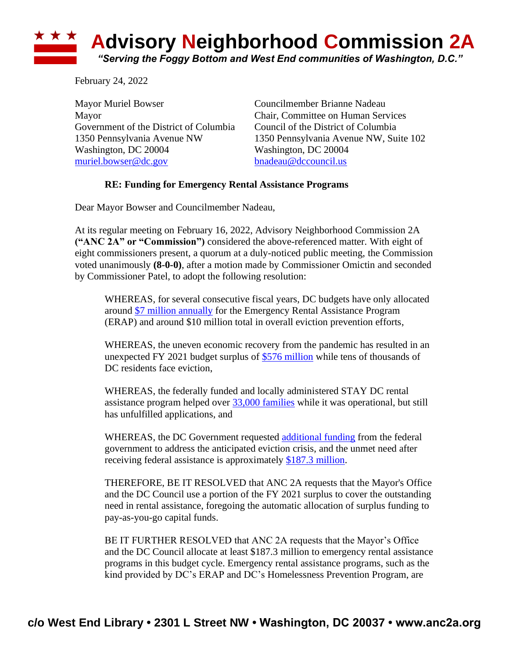

February 24, 2022

Mayor Muriel Bowser Councilmember Brianne Nadeau Mayor Chair, Committee on Human Services Government of the District of Columbia Council of the District of Columbia Washington, DC 20004 Washington, DC 20004 [muriel.bowser@dc.gov](mailto:muriel.bowser@dc.gov) [bnadeau@dccouncil.us](mailto:bnadeau@dccouncil.us)

1350 Pennsylvania Avenue NW 1350 Pennsylvania Avenue NW, Suite 102

## **RE: Funding for Emergency Rental Assistance Programs**

Dear Mayor Bowser and Councilmember Nadeau,

At its regular meeting on February 16, 2022, Advisory Neighborhood Commission 2A **("ANC 2A" or "Commission")** considered the above-referenced matter. With eight of eight commissioners present, a quorum at a duly-noticed public meeting, the Commission voted unanimously **(8-0-0)**, after a motion made by Commissioner Omictin and seconded by Commissioner Patel, to adopt the following resolution:

WHEREAS, for several consecutive fiscal years, DC budgets have only allocated around [\\$7 million annually](https://www.streetsensemedia.org/article/no-significant-funding-added-to-emergency-rental-assistance-program-despite-ongoing-effects-of-covid-19/#.Ygw5gurMI2w) for the Emergency Rental Assistance Program (ERAP) and around \$10 million total in overall eviction prevention efforts,

WHEREAS, the uneven economic recovery from the pandemic has resulted in an unexpected FY 2021 budget surplus of [\\$576 million](https://twitter.com/maustermuhle/status/1476930913355407369/photo/1) while tens of thousands of DC residents face eviction,

WHEREAS, the federally funded and locally administered STAY DC rental assistance program helped over [33,000 families](https://www.brianneknadeau.com/updates/update/february-4-dhs-report-stay-dc-and-covid-19-committee-human-services) while it was operational, but still has unfulfilled applications, and

WHEREAS, the DC Government requested [additional funding](https://www.axios.com/local/washington-dc/2022/02/07/dc-housing-advocates-rental-assistance) from the federal government to address the anticipated eviction crisis, and the unmet need after receiving federal assistance is approximately [\\$187.3 million.](https://www.dcfpi.org/all/letter-to-mayor-bowser-use-growing-revenues-address-the-eviction-crisis/#_edn3)

THEREFORE, BE IT RESOLVED that ANC 2A requests that the Mayor's Office and the DC Council use a portion of the FY 2021 surplus to cover the outstanding need in rental assistance, foregoing the automatic allocation of surplus funding to pay-as-you-go capital funds.

BE IT FURTHER RESOLVED that ANC 2A requests that the Mayor's Office and the DC Council allocate at least \$187.3 million to emergency rental assistance programs in this budget cycle. Emergency rental assistance programs, such as the kind provided by DC's ERAP and DC's Homelessness Prevention Program, are